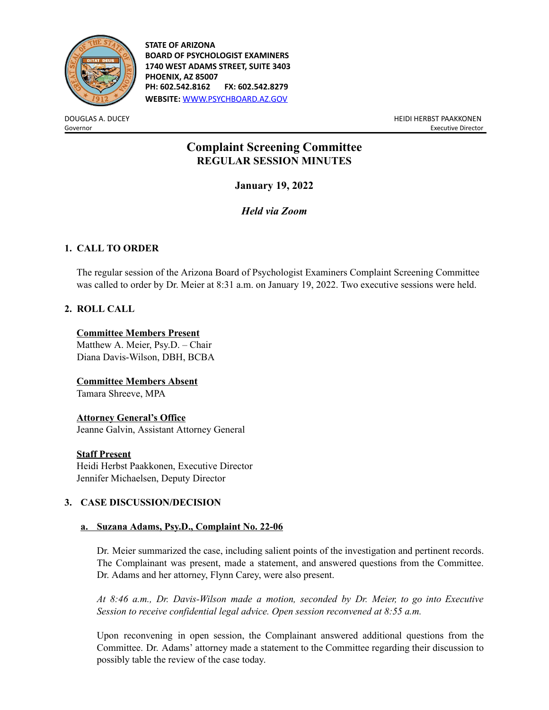

**STATE OF ARIZONA BOARD OF PSYCHOLOGIST EXAMINERS 1740 WEST ADAMS STREET, SUITE 3403 PHOENIX, AZ 85007 PH: 602.542.8162 FX: 602.542.8279 WEBSITE:** [WWW.PSYCHBOARD.AZ.GOV](http://www.psychboard.az.gov/)

DOUGLAS A. DUCEY HEIDI HERBST PAAKKONEN Governor **Executive Director** Executive Director **Executive Director** Executive Director

# **Complaint Screening Committee REGULAR SESSION MINUTES**

**January 19, 2022**

*Held via Zoom*

# **1. CALL TO ORDER**

The regular session of the Arizona Board of Psychologist Examiners Complaint Screening Committee was called to order by Dr. Meier at 8:31 a.m. on January 19, 2022. Two executive sessions were held.

# **2. ROLL CALL**

### **Committee Members Present**

Matthew A. Meier, Psy.D. – Chair Diana Davis-Wilson, DBH, BCBA

**Committee Members Absent** Tamara Shreeve, MPA

### **Attorney General's Office**

Jeanne Galvin, Assistant Attorney General

### **Staff Present**

Heidi Herbst Paakkonen, Executive Director Jennifer Michaelsen, Deputy Director

# **3. CASE DISCUSSION/DECISION**

# **a. Suzana Adams, Psy.D., Complaint No. 22-06**

Dr. Meier summarized the case, including salient points of the investigation and pertinent records. The Complainant was present, made a statement, and answered questions from the Committee. Dr. Adams and her attorney, Flynn Carey, were also present.

*At 8:46 a.m., Dr. Davis-Wilson made a motion, seconded by Dr. Meier, to go into Executive Session to receive confidential legal advice. Open session reconvened at 8:55 a.m.*

Upon reconvening in open session, the Complainant answered additional questions from the Committee. Dr. Adams' attorney made a statement to the Committee regarding their discussion to possibly table the review of the case today.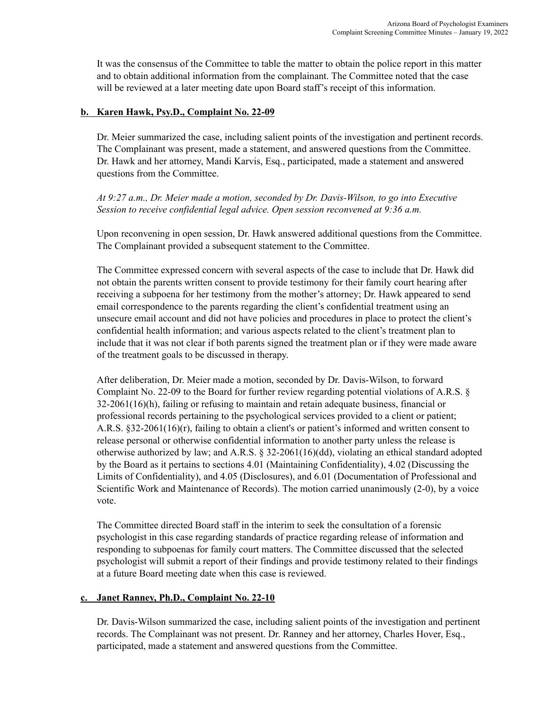It was the consensus of the Committee to table the matter to obtain the police report in this matter and to obtain additional information from the complainant. The Committee noted that the case will be reviewed at a later meeting date upon Board staff's receipt of this information.

### **b. Karen Hawk, Psy.D., Complaint No. 22-09**

Dr. Meier summarized the case, including salient points of the investigation and pertinent records. The Complainant was present, made a statement, and answered questions from the Committee. Dr. Hawk and her attorney, Mandi Karvis, Esq., participated, made a statement and answered questions from the Committee.

*At 9:27 a.m., Dr. Meier made a motion, seconded by Dr. Davis-Wilson, to go into Executive Session to receive confidential legal advice. Open session reconvened at 9:36 a.m.*

Upon reconvening in open session, Dr. Hawk answered additional questions from the Committee. The Complainant provided a subsequent statement to the Committee.

The Committee expressed concern with several aspects of the case to include that Dr. Hawk did not obtain the parents written consent to provide testimony for their family court hearing after receiving a subpoena for her testimony from the mother's attorney; Dr. Hawk appeared to send email correspondence to the parents regarding the client's confidential treatment using an unsecure email account and did not have policies and procedures in place to protect the client's confidential health information; and various aspects related to the client's treatment plan to include that it was not clear if both parents signed the treatment plan or if they were made aware of the treatment goals to be discussed in therapy.

After deliberation, Dr. Meier made a motion, seconded by Dr. Davis-Wilson, to forward Complaint No. 22-09 to the Board for further review regarding potential violations of A.R.S. § 32-2061(16)(h), failing or refusing to maintain and retain adequate business, financial or professional records pertaining to the psychological services provided to a client or patient; A.R.S. §32-2061(16)(r), failing to obtain a client's or patient's informed and written consent to release personal or otherwise confidential information to another party unless the release is otherwise authorized by law; and A.R.S. § 32-2061(16)(dd), violating an ethical standard adopted by the Board as it pertains to sections 4.01 (Maintaining Confidentiality), 4.02 (Discussing the Limits of Confidentiality), and 4.05 (Disclosures), and 6.01 (Documentation of Professional and Scientific Work and Maintenance of Records). The motion carried unanimously (2-0), by a voice vote.

The Committee directed Board staff in the interim to seek the consultation of a forensic psychologist in this case regarding standards of practice regarding release of information and responding to subpoenas for family court matters. The Committee discussed that the selected psychologist will submit a report of their findings and provide testimony related to their findings at a future Board meeting date when this case is reviewed.

#### **c. Janet Ranney, Ph.D., Complaint No. 22-10**

Dr. Davis-Wilson summarized the case, including salient points of the investigation and pertinent records. The Complainant was not present. Dr. Ranney and her attorney, Charles Hover, Esq., participated, made a statement and answered questions from the Committee.